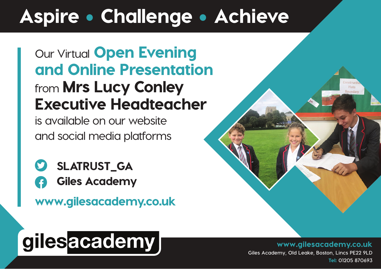### Aspire • Challenge • Achieve

**Our Virtual** Open Evening and Online Presentation **from** Mrs Lucy Conley Executive Headteacher

**is available on our website and social media platforms**

- $\bullet$ SLATRUST\_GA
	- Giles Academy

www.gilesacademy.co.uk

# gilesacademy

www.gilesacademy.co.uk  **Giles Academy, Old Leake, Boston, Lincs PE22 9LD**  Tel: **01205 870693**